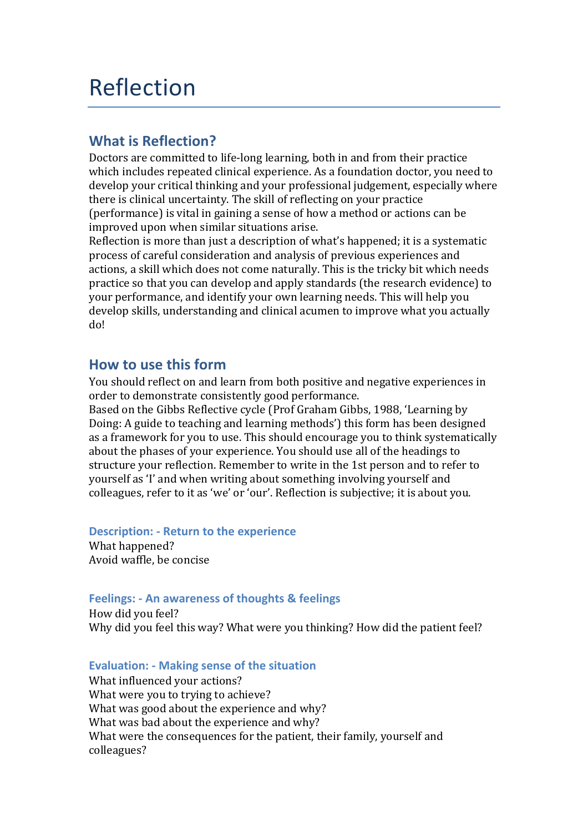# Reflection

# **What is Reflection?**

Doctors are committed to life-long learning, both in and from their practice which includes repeated clinical experience. As a foundation doctor, you need to develop your critical thinking and your professional judgement, especially where there is clinical uncertainty. The skill of reflecting on your practice (performance) is vital in gaining a sense of how a method or actions can be improved upon when similar situations arise.

Reflection is more than just a description of what's happened; it is a systematic process of careful consideration and analysis of previous experiences and actions, a skill which does not come naturally. This is the tricky bit which needs practice so that you can develop and apply standards (the research evidence) to your performance, and identify your own learning needs. This will help you develop skills, understanding and clinical acumen to improve what you actually do!

## **How to use this form**

You should reflect on and learn from both positive and negative experiences in order to demonstrate consistently good performance.

Based on the Gibbs Reflective cycle (Prof Graham Gibbs, 1988, 'Learning by Doing: A guide to teaching and learning methods') this form has been designed as a framework for you to use. This should encourage you to think systematically about the phases of your experience. You should use all of the headings to structure your reflection. Remember to write in the 1st person and to refer to yourself as 'I' and when writing about something involving yourself and colleagues, refer to it as 'we' or 'our'. Reflection is subjective; it is about you.

#### **Description: - Return to the experience**

What happened? Avoid waffle, be concise

### **Feelings: - An awareness of thoughts & feelings**

How did you feel? Why did you feel this way? What were you thinking? How did the patient feel?

### **Evaluation: - Making sense of the situation**

What influenced your actions? What were you to trying to achieve? What was good about the experience and why? What was bad about the experience and why? What were the consequences for the patient, their family, yourself and colleagues?